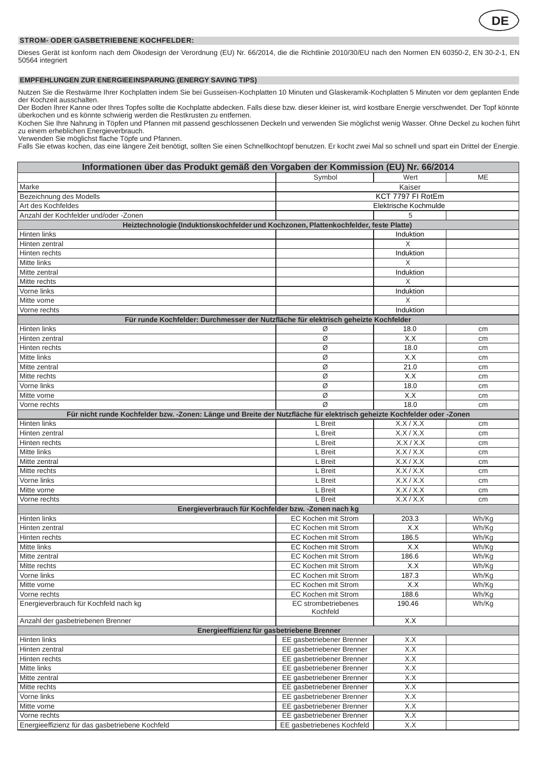

## **STROM- ODER GASBETRIEBENE KOCHFELDER:**

Dieses Gerät ist konform nach dem Ökodesign der Verordnung (EU) Nr. 66/2014, die die Richtlinie 2010/30/EU nach den Normen EN 60350-2, EN 30-2-1, EN 50564 integriert

## **EMPFEHLUNGEN ZUR ENERGIEEINSPARUNG (ENERGY SAVING TIPS)**

Nutzen Sie die Restwärme Ihrer Kochplatten indem Sie bei Gusseisen-Kochplatten 10 Minuten und Glaskeramik-Kochplatten 5 Minuten vor dem geplanten Ende der Kochzeit ausschalten.

Der Boden Ihrer Kanne oder Ihres Topfes sollte die Kochplatte abdecken. Falls diese bzw. dieser kleiner ist, wird kostbare Energie verschwendet. Der Topf könnte überkochen und es könnte schwierig werden die Restkrusten zu entfernen.

Kochen Sie Ihre Nahrung in Töpfen und Pfannen mit passend geschlossenen Deckeln und verwenden Sie möglichst wenig Wasser. Ohne Deckel zu kochen führt zu einem erheblichen Energieverbrauch.

Verwenden Sie möglichst flache Töpfe und Pfannen.

Falls Sie etwas kochen, das eine längere Zeit benötigt, sollten Sie einen Schnellkochtopf benutzen. Er kocht zwei Mal so schnell und spart ein Drittel der Energie.

| Informationen über das Produkt gemäß den Vorgaben der Kommission (EU) Nr. 66/2014                                      |                                        |                       |       |  |  |
|------------------------------------------------------------------------------------------------------------------------|----------------------------------------|-----------------------|-------|--|--|
|                                                                                                                        | Symbol                                 | Wert                  | ME    |  |  |
| Marke                                                                                                                  |                                        | Kaiser                |       |  |  |
| Bezeichnung des Modells                                                                                                | KCT 7797 FI RotEm                      |                       |       |  |  |
| Art des Kochfeldes                                                                                                     |                                        | Elektrische Kochmulde |       |  |  |
| Anzahl der Kochfelder und/oder -Zonen                                                                                  |                                        | 5                     |       |  |  |
| Heiztechnologie (Induktionskochfelder und Kochzonen, Plattenkochfelder, feste Platte)                                  |                                        |                       |       |  |  |
| Hinten links                                                                                                           |                                        | Induktion             |       |  |  |
| Hinten zentral                                                                                                         |                                        | X                     |       |  |  |
| Hinten rechts                                                                                                          |                                        | Induktion             |       |  |  |
| Mitte links                                                                                                            |                                        | X                     |       |  |  |
| Mitte zentral                                                                                                          |                                        | Induktion             |       |  |  |
| Mitte rechts                                                                                                           |                                        | Χ                     |       |  |  |
| Vorne links                                                                                                            |                                        | Induktion             |       |  |  |
| Mitte vorne                                                                                                            |                                        | X                     |       |  |  |
| Vorne rechts                                                                                                           |                                        | Induktion             |       |  |  |
| Für runde Kochfelder: Durchmesser der Nutzfläche für elektrisch geheizte Kochfelder                                    |                                        |                       |       |  |  |
| Hinten links                                                                                                           | Ø                                      | 18.0                  | cm    |  |  |
| Hinten zentral                                                                                                         | Ø                                      | X.X                   | cm    |  |  |
| Hinten rechts                                                                                                          | Ø                                      | 18.0                  | cm    |  |  |
| Mitte links                                                                                                            | Ø                                      | X.X                   | cm    |  |  |
| Mitte zentral                                                                                                          | Ø                                      | 21.0                  | cm    |  |  |
| Mitte rechts                                                                                                           | Ø                                      | X.X                   | cm    |  |  |
| Vorne links                                                                                                            | Ø                                      | 18.0                  | cm    |  |  |
| Mitte vorne                                                                                                            | Ø                                      | X.X                   | cm    |  |  |
| Vorne rechts                                                                                                           | Ø                                      | 18.0                  | cm    |  |  |
| Für nicht runde Kochfelder bzw. -Zonen: Länge und Breite der Nutzfläche für elektrisch geheizte Kochfelder oder -Zonen |                                        |                       |       |  |  |
| Hinten links                                                                                                           | L Breit                                | X.X/X.X               | cm    |  |  |
| Hinten zentral                                                                                                         | L Breit                                | X.X/X.X               | cm    |  |  |
| Hinten rechts                                                                                                          | L Breit                                | X.X/X.X               | cm    |  |  |
| Mitte links                                                                                                            | L Breit                                | X.X/X.X               | cm    |  |  |
| Mitte zentral                                                                                                          | L Breit                                | X.X/X.X               | cm    |  |  |
| Mitte rechts                                                                                                           | L Breit                                | X.X/X.X               | cm    |  |  |
| Vorne links                                                                                                            | L Breit                                | X.X/X.X               | cm    |  |  |
| Mitte vorne                                                                                                            | L Breit                                | X.X/X.X               | cm    |  |  |
| Vorne rechts                                                                                                           | L Breit                                | X.X/X.X               | cm    |  |  |
| Energieverbrauch für Kochfelder bzw. - Zonen nach kg                                                                   |                                        |                       |       |  |  |
| Hinten links                                                                                                           | EC Kochen mit Strom                    | 203.3                 | Wh/Kg |  |  |
| Hinten zentral                                                                                                         | EC Kochen mit Strom                    | X.X                   | Wh/Kg |  |  |
| Hinten rechts                                                                                                          | EC Kochen mit Strom                    | 186.5                 | Wh/Kg |  |  |
| Mitte links                                                                                                            | EC Kochen mit Strom                    | X.X                   | Wh/Kg |  |  |
| Mitte zentral                                                                                                          | EC Kochen mit Strom                    | 186.6                 | Wh/Kg |  |  |
| Mitte rechts                                                                                                           | <b>EC Kochen mit Strom</b>             | X.X                   | Wh/Kg |  |  |
| Vorne links                                                                                                            | EC Kochen mit Strom                    | 187.3                 | Wh/Kg |  |  |
| Mitte vorne                                                                                                            | EC Kochen mit Strom                    | X.X                   | Wh/Kg |  |  |
| Vorne rechts                                                                                                           | EC Kochen mit Strom                    | 188.6                 | Wh/Kg |  |  |
| Energieverbrauch für Kochfeld nach kg                                                                                  | <b>EC</b> strombetriebenes<br>Kochfeld | 190.46                | Wh/Kg |  |  |
| Anzahl der gasbetriebenen Brenner                                                                                      |                                        | X.X                   |       |  |  |
| Energieeffizienz für gasbetriebene Brenner                                                                             |                                        |                       |       |  |  |
| Hinten links                                                                                                           | EE gasbetriebener Brenner              | X.X                   |       |  |  |
| Hinten zentral                                                                                                         | EE gasbetriebener Brenner              | X.X                   |       |  |  |
| Hinten rechts                                                                                                          | EE gasbetriebener Brenner              | X.X                   |       |  |  |
| Mitte links                                                                                                            | EE gasbetriebener Brenner              | X.X                   |       |  |  |
| Mitte zentral                                                                                                          | EE gasbetriebener Brenner              | X.X                   |       |  |  |
| Mitte rechts                                                                                                           | EE gasbetriebener Brenner              | X.X                   |       |  |  |
| Vorne links                                                                                                            | EE gasbetriebener Brenner              | X.X                   |       |  |  |
| Mitte vorne                                                                                                            | EE gasbetriebener Brenner              | X.X                   |       |  |  |
| Vorne rechts                                                                                                           | EE gasbetriebener Brenner              | X.X                   |       |  |  |
| Energieeffizienz für das gasbetriebene Kochfeld                                                                        | EE gasbetriebenes Kochfeld             | X.X                   |       |  |  |